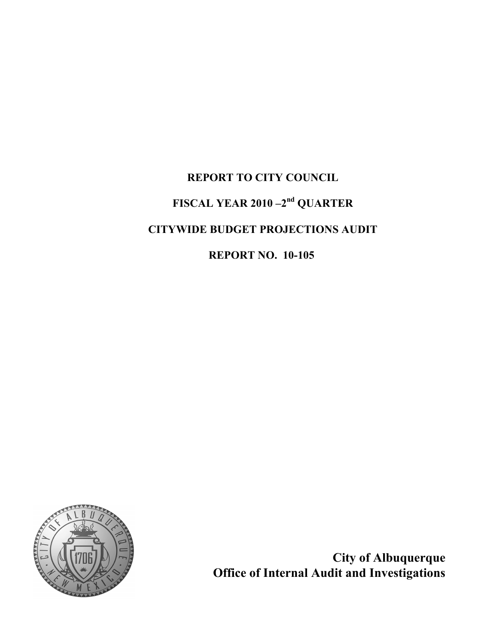# REPORT TO CITY COUNCIL FISCAL YEAR 2010 –2nd QUARTER CITYWIDE BUDGET PROJECTIONS AUDIT REPORT NO. 10-105



City of Albuquerque Office of Internal Audit and Investigations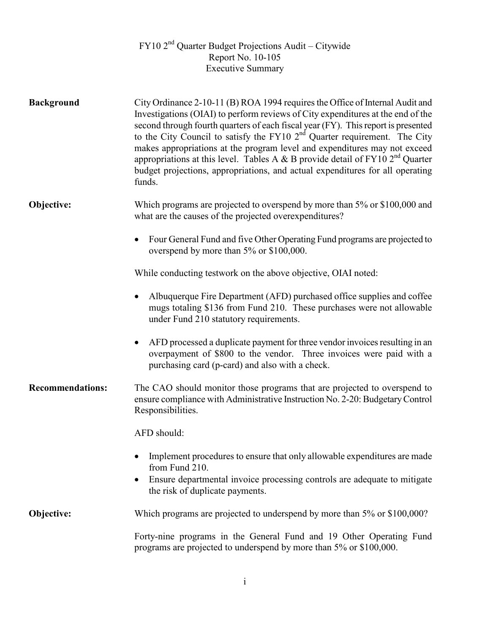# $FY102<sup>nd</sup>$  Quarter Budget Projections Audit – Citywide Report No. 10-105 Executive Summary

| <b>Background</b>       | City Ordinance 2-10-11 (B) ROA 1994 requires the Office of Internal Audit and<br>Investigations (OIAI) to perform reviews of City expenditures at the end of the<br>second through fourth quarters of each fiscal year (FY). This report is presented<br>to the City Council to satisfy the FY10 $2nd$ Quarter requirement. The City<br>makes appropriations at the program level and expenditures may not exceed<br>appropriations at this level. Tables A & B provide detail of $FY102nd$ Quarter<br>budget projections, appropriations, and actual expenditures for all operating<br>funds. |
|-------------------------|------------------------------------------------------------------------------------------------------------------------------------------------------------------------------------------------------------------------------------------------------------------------------------------------------------------------------------------------------------------------------------------------------------------------------------------------------------------------------------------------------------------------------------------------------------------------------------------------|
| Objective:              | Which programs are projected to overspend by more than 5% or \$100,000 and<br>what are the causes of the projected overexpenditures?                                                                                                                                                                                                                                                                                                                                                                                                                                                           |
|                         | Four General Fund and five Other Operating Fund programs are projected to<br>$\bullet$<br>overspend by more than 5% or \$100,000.                                                                                                                                                                                                                                                                                                                                                                                                                                                              |
|                         | While conducting testwork on the above objective, OIAI noted:                                                                                                                                                                                                                                                                                                                                                                                                                                                                                                                                  |
|                         | Albuquerque Fire Department (AFD) purchased office supplies and coffee<br>٠<br>mugs totaling \$136 from Fund 210. These purchases were not allowable<br>under Fund 210 statutory requirements.                                                                                                                                                                                                                                                                                                                                                                                                 |
|                         | AFD processed a duplicate payment for three vendor invoices resulting in an<br>$\bullet$<br>overpayment of \$800 to the vendor. Three invoices were paid with a<br>purchasing card (p-card) and also with a check.                                                                                                                                                                                                                                                                                                                                                                             |
| <b>Recommendations:</b> | The CAO should monitor those programs that are projected to overspend to<br>ensure compliance with Administrative Instruction No. 2-20: Budgetary Control<br>Responsibilities.                                                                                                                                                                                                                                                                                                                                                                                                                 |
|                         | AFD should:                                                                                                                                                                                                                                                                                                                                                                                                                                                                                                                                                                                    |
|                         | Implement procedures to ensure that only allowable expenditures are made<br>from Fund 210.                                                                                                                                                                                                                                                                                                                                                                                                                                                                                                     |
|                         | Ensure departmental invoice processing controls are adequate to mitigate<br>$\bullet$<br>the risk of duplicate payments.                                                                                                                                                                                                                                                                                                                                                                                                                                                                       |
| Objective:              | Which programs are projected to underspend by more than 5% or \$100,000?                                                                                                                                                                                                                                                                                                                                                                                                                                                                                                                       |
|                         | Forty-nine programs in the General Fund and 19 Other Operating Fund<br>programs are projected to underspend by more than 5% or \$100,000.                                                                                                                                                                                                                                                                                                                                                                                                                                                      |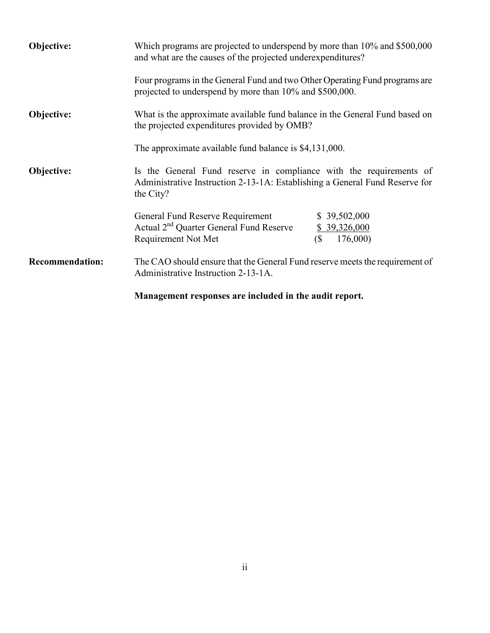| Objective:             | Which programs are projected to underspend by more than 10% and \$500,000<br>and what are the causes of the projected underexpenditures?                                             |                                                                        |  |  |  |
|------------------------|--------------------------------------------------------------------------------------------------------------------------------------------------------------------------------------|------------------------------------------------------------------------|--|--|--|
|                        | Four programs in the General Fund and two Other Operating Fund programs are<br>projected to underspend by more than 10% and \$500,000.                                               |                                                                        |  |  |  |
| Objective:             | What is the approximate available fund balance in the General Fund based on<br>the projected expenditures provided by OMB?<br>The approximate available fund balance is \$4,131,000. |                                                                        |  |  |  |
|                        |                                                                                                                                                                                      |                                                                        |  |  |  |
| Objective:             | Is the General Fund reserve in compliance with the requirements of<br>Administrative Instruction 2-13-1A: Establishing a General Fund Reserve for<br>the City?                       |                                                                        |  |  |  |
|                        | General Fund Reserve Requirement<br>Actual 2 <sup>nd</sup> Quarter General Fund Reserve<br>Requirement Not Met                                                                       | \$39,502,000<br>\$39,326,000<br>$\left( \mathbb{S}\right)$<br>176,000) |  |  |  |
| <b>Recommendation:</b> | The CAO should ensure that the General Fund reserve meets the requirement of<br>Administrative Instruction 2-13-1A.                                                                  |                                                                        |  |  |  |
|                        | Management responses are included in the audit report.                                                                                                                               |                                                                        |  |  |  |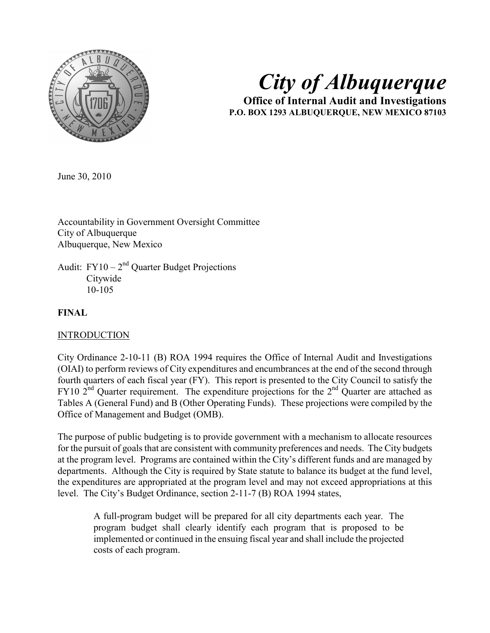

# City of Albuquerque

Office of Internal Audit and Investigations P.O. BOX 1293 ALBUQUERQUE, NEW MEXICO 87103

June 30, 2010

Accountability in Government Oversight Committee City of Albuquerque Albuquerque, New Mexico

Audit:  $FY10 - 2<sup>nd</sup>$  Quarter Budget Projections **Citywide** 10-105

# FINAL

#### INTRODUCTION

City Ordinance 2-10-11 (B) ROA 1994 requires the Office of Internal Audit and Investigations (OIAI) to perform reviews of City expenditures and encumbrances at the end of the second through fourth quarters of each fiscal year (FY). This report is presented to the City Council to satisfy the FY10  $2<sup>nd</sup>$  Quarter requirement. The expenditure projections for the  $2<sup>nd</sup>$  Quarter are attached as Tables A (General Fund) and B (Other Operating Funds). These projections were compiled by the Office of Management and Budget (OMB).

The purpose of public budgeting is to provide government with a mechanism to allocate resources for the pursuit of goals that are consistent with community preferences and needs. The City budgets at the program level. Programs are contained within the City's different funds and are managed by departments. Although the City is required by State statute to balance its budget at the fund level, the expenditures are appropriated at the program level and may not exceed appropriations at this level. The City's Budget Ordinance, section 2-11-7 (B) ROA 1994 states,

A full-program budget will be prepared for all city departments each year. The program budget shall clearly identify each program that is proposed to be implemented or continued in the ensuing fiscal year and shall include the projected costs of each program.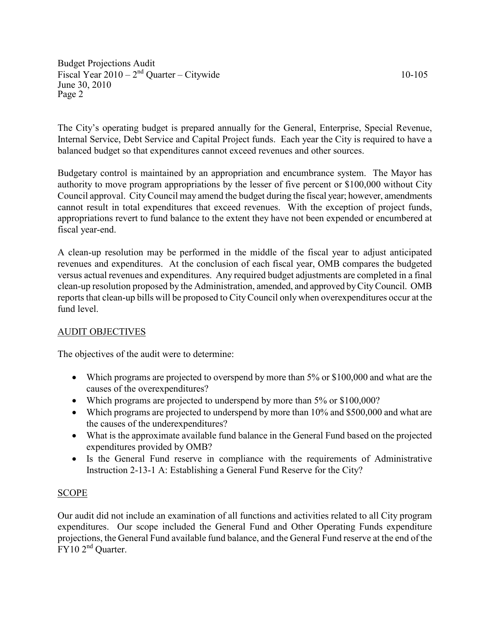The City's operating budget is prepared annually for the General, Enterprise, Special Revenue, Internal Service, Debt Service and Capital Project funds. Each year the City is required to have a balanced budget so that expenditures cannot exceed revenues and other sources.

Budgetary control is maintained by an appropriation and encumbrance system. The Mayor has authority to move program appropriations by the lesser of five percent or \$100,000 without City Council approval. City Council may amend the budget during the fiscal year; however, amendments cannot result in total expenditures that exceed revenues. With the exception of project funds, appropriations revert to fund balance to the extent they have not been expended or encumbered at fiscal year-end.

A clean-up resolution may be performed in the middle of the fiscal year to adjust anticipated revenues and expenditures. At the conclusion of each fiscal year, OMB compares the budgeted versus actual revenues and expenditures. Any required budget adjustments are completed in a final clean-up resolution proposed by the Administration, amended, and approved by City Council. OMB reports that clean-up bills will be proposed to City Council only when overexpenditures occur at the fund level.

# AUDIT OBJECTIVES

The objectives of the audit were to determine:

- Which programs are projected to overspend by more than 5% or \$100,000 and what are the causes of the overexpenditures?
- Which programs are projected to underspend by more than 5% or \$100,000?
- Which programs are projected to underspend by more than 10% and \$500,000 and what are the causes of the underexpenditures?
- What is the approximate available fund balance in the General Fund based on the projected expenditures provided by OMB?
- Is the General Fund reserve in compliance with the requirements of Administrative Instruction 2-13-1 A: Establishing a General Fund Reserve for the City?

# **SCOPE**

Our audit did not include an examination of all functions and activities related to all City program expenditures. Our scope included the General Fund and Other Operating Funds expenditure projections, the General Fund available fund balance, and the General Fund reserve at the end of the FY10 2<sup>nd</sup> Quarter.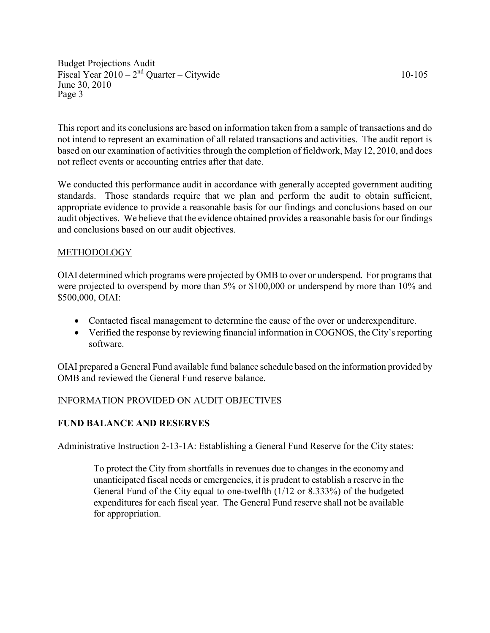This report and its conclusions are based on information taken from a sample of transactions and do not intend to represent an examination of all related transactions and activities. The audit report is based on our examination of activities through the completion of fieldwork, May 12, 2010, and does not reflect events or accounting entries after that date.

We conducted this performance audit in accordance with generally accepted government auditing standards. Those standards require that we plan and perform the audit to obtain sufficient, appropriate evidence to provide a reasonable basis for our findings and conclusions based on our audit objectives. We believe that the evidence obtained provides a reasonable basis for our findings and conclusions based on our audit objectives.

# METHODOLOGY

OIAI determined which programs were projected by OMB to over or underspend. For programs that were projected to overspend by more than 5% or \$100,000 or underspend by more than 10% and \$500,000, OIAI:

- Contacted fiscal management to determine the cause of the over or underexpenditure.
- Verified the response by reviewing financial information in COGNOS, the City's reporting software.

OIAI prepared a General Fund available fund balance schedule based on the information provided by OMB and reviewed the General Fund reserve balance.

# INFORMATION PROVIDED ON AUDIT OBJECTIVES

# FUND BALANCE AND RESERVES

Administrative Instruction 2-13-1A: Establishing a General Fund Reserve for the City states:

To protect the City from shortfalls in revenues due to changes in the economy and unanticipated fiscal needs or emergencies, it is prudent to establish a reserve in the General Fund of the City equal to one-twelfth (1/12 or 8.333%) of the budgeted expenditures for each fiscal year. The General Fund reserve shall not be available for appropriation.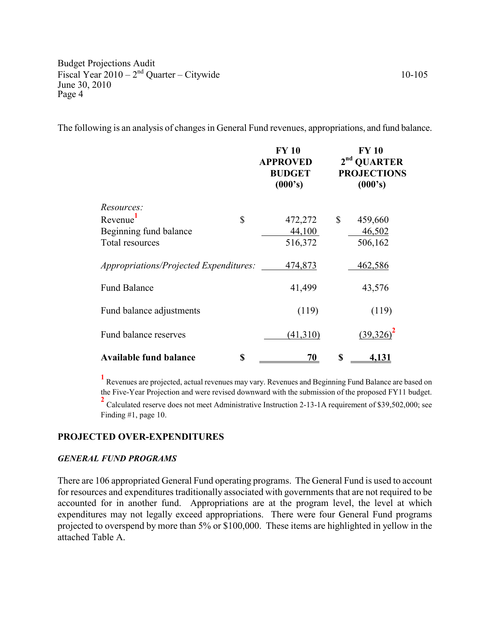The following is an analysis of changes in General Fund revenues, appropriations, and fund balance.

|                     |                                        |    | <b>FY 10</b><br><b>APPROVED</b><br><b>BUDGET</b><br>(000's) | FY 10<br>2 <sup>nd</sup> QUARTER<br><b>PROJECTIONS</b><br>(000's) |              |
|---------------------|----------------------------------------|----|-------------------------------------------------------------|-------------------------------------------------------------------|--------------|
| Resources:          |                                        |    |                                                             |                                                                   |              |
| Revenue             |                                        | \$ | 472,272                                                     | \$                                                                | 459,660      |
|                     | Beginning fund balance                 |    | 44,100                                                      |                                                                   | 46,502       |
| Total resources     |                                        |    | 516,372                                                     |                                                                   | 506,162      |
|                     | Appropriations/Projected Expenditures: |    | 474,873                                                     |                                                                   | 462,586      |
| <b>Fund Balance</b> |                                        |    | 41,499                                                      |                                                                   | 43,576       |
|                     | Fund balance adjustments               |    | (119)                                                       |                                                                   | (119)        |
|                     | Fund balance reserves                  |    | (41,310)                                                    |                                                                   | $(39,326)^2$ |
|                     | <b>Available fund balance</b>          | \$ | 70                                                          | \$                                                                | <u>4,131</u> |

1 Revenues are projected, actual revenues may vary. Revenues and Beginning Fund Balance are based on the Five-Year Projection and were revised downward with the submission of the proposed FY11 budget.

<sup>2</sup> Calculated reserve does not meet Administrative Instruction 2-13-1A requirement of \$39,502,000; see Finding #1, page 10.

#### PROJECTED OVER-EXPENDITURES

#### GENERAL FUND PROGRAMS

There are 106 appropriated General Fund operating programs. The General Fund is used to account for resources and expenditures traditionally associated with governments that are not required to be accounted for in another fund. Appropriations are at the program level, the level at which expenditures may not legally exceed appropriations. There were four General Fund programs projected to overspend by more than 5% or \$100,000. These items are highlighted in yellow in the attached Table A.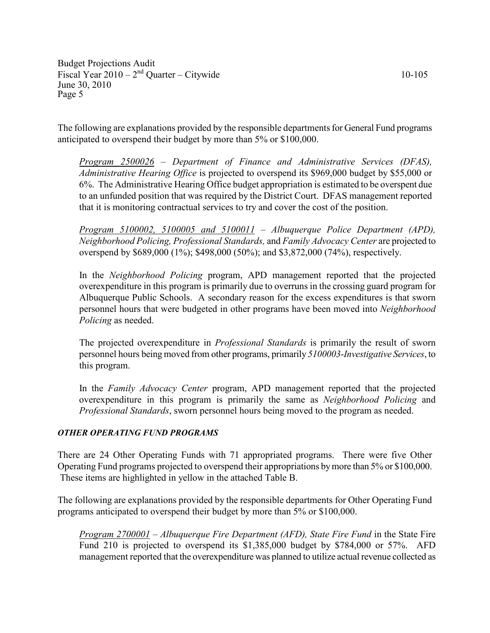The following are explanations provided by the responsible departments for General Fund programs anticipated to overspend their budget by more than 5% or \$100,000.

Program 2500026 – Department of Finance and Administrative Services (DFAS), Administrative Hearing Office is projected to overspend its \$969,000 budget by \$55,000 or 6%. The Administrative Hearing Office budget appropriation is estimated to be overspent due to an unfunded position that was required by the District Court. DFAS management reported that it is monitoring contractual services to try and cover the cost of the position.

Program 5100002, 5100005 and 5100011 – Albuquerque Police Department (APD), Neighborhood Policing, Professional Standards, and Family Advocacy Center are projected to overspend by \$689,000 (1%); \$498,000 (50%); and \$3,872,000 (74%), respectively.

In the Neighborhood Policing program, APD management reported that the projected overexpenditure in this program is primarily due to overruns in the crossing guard program for Albuquerque Public Schools. A secondary reason for the excess expenditures is that sworn personnel hours that were budgeted in other programs have been moved into Neighborhood Policing as needed.

The projected overexpenditure in Professional Standards is primarily the result of sworn personnel hours being moved from other programs, primarily 5100003-Investigative Services, to this program.

In the Family Advocacy Center program, APD management reported that the projected overexpenditure in this program is primarily the same as Neighborhood Policing and Professional Standards, sworn personnel hours being moved to the program as needed.

#### OTHER OPERATING FUND PROGRAMS

There are 24 Other Operating Funds with 71 appropriated programs. There were five Other Operating Fund programs projected to overspend their appropriations by more than 5% or \$100,000. These items are highlighted in yellow in the attached Table B.

The following are explanations provided by the responsible departments for Other Operating Fund programs anticipated to overspend their budget by more than 5% or \$100,000.

Program 2700001 – Albuquerque Fire Department (AFD), State Fire Fund in the State Fire Fund 210 is projected to overspend its \$1,385,000 budget by \$784,000 or 57%. AFD management reported that the overexpenditure was planned to utilize actual revenue collected as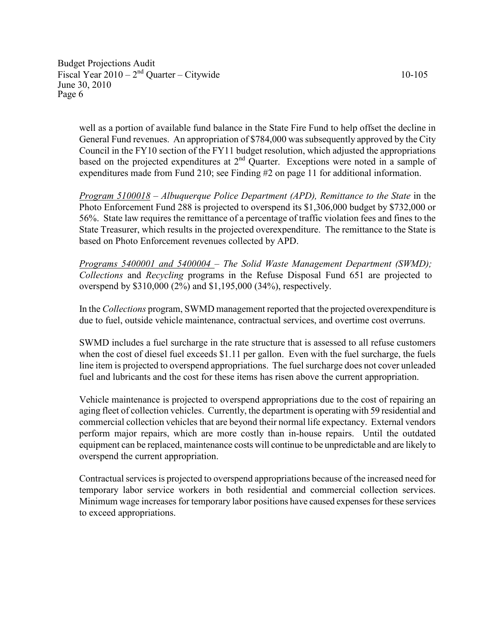well as a portion of available fund balance in the State Fire Fund to help offset the decline in General Fund revenues. An appropriation of \$784,000 was subsequently approved by the City Council in the FY10 section of the FY11 budget resolution, which adjusted the appropriations based on the projected expenditures at  $2<sup>nd</sup>$  Quarter. Exceptions were noted in a sample of expenditures made from Fund 210; see Finding #2 on page 11 for additional information.

Program 5100018 – Albuquerque Police Department (APD), Remittance to the State in the Photo Enforcement Fund 288 is projected to overspend its \$1,306,000 budget by \$732,000 or 56%. State law requires the remittance of a percentage of traffic violation fees and fines to the State Treasurer, which results in the projected overexpenditure. The remittance to the State is based on Photo Enforcement revenues collected by APD.

Programs 5400001 and 5400004 – The Solid Waste Management Department (SWMD); Collections and Recycling programs in the Refuse Disposal Fund 651 are projected to overspend by \$310,000 (2%) and \$1,195,000 (34%), respectively.

In the Collections program, SWMD management reported that the projected overexpenditure is due to fuel, outside vehicle maintenance, contractual services, and overtime cost overruns.

SWMD includes a fuel surcharge in the rate structure that is assessed to all refuse customers when the cost of diesel fuel exceeds \$1.11 per gallon. Even with the fuel surcharge, the fuels line item is projected to overspend appropriations. The fuel surcharge does not cover unleaded fuel and lubricants and the cost for these items has risen above the current appropriation.

Vehicle maintenance is projected to overspend appropriations due to the cost of repairing an aging fleet of collection vehicles. Currently, the department is operating with 59 residential and commercial collection vehicles that are beyond their normal life expectancy. External vendors perform major repairs, which are more costly than in-house repairs. Until the outdated equipment can be replaced, maintenance costs will continue to be unpredictable and are likely to overspend the current appropriation.

Contractual services is projected to overspend appropriations because of the increased need for temporary labor service workers in both residential and commercial collection services. Minimum wage increases for temporary labor positions have caused expenses for these services to exceed appropriations.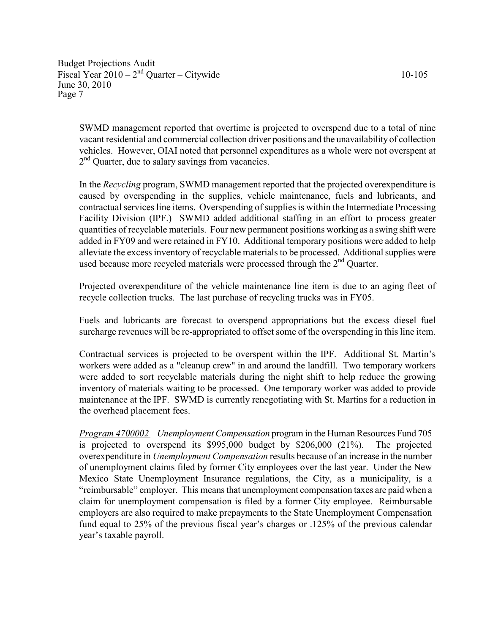SWMD management reported that overtime is projected to overspend due to a total of nine vacant residential and commercial collection driver positions and the unavailability of collection vehicles. However, OIAI noted that personnel expenditures as a whole were not overspent at 2<sup>nd</sup> Quarter, due to salary savings from vacancies.

In the Recycling program, SWMD management reported that the projected overexpenditure is caused by overspending in the supplies, vehicle maintenance, fuels and lubricants, and contractual services line items. Overspending of supplies is within the Intermediate Processing Facility Division (IPF.) SWMD added additional staffing in an effort to process greater quantities of recyclable materials. Four new permanent positions working as a swing shift were added in FY09 and were retained in FY10. Additional temporary positions were added to help alleviate the excess inventory of recyclable materials to be processed. Additional supplies were used because more recycled materials were processed through the 2<sup>nd</sup> Ouarter.

Projected overexpenditure of the vehicle maintenance line item is due to an aging fleet of recycle collection trucks. The last purchase of recycling trucks was in FY05.

Fuels and lubricants are forecast to overspend appropriations but the excess diesel fuel surcharge revenues will be re-appropriated to offset some of the overspending in this line item.

Contractual services is projected to be overspent within the IPF. Additional St. Martin's workers were added as a "cleanup crew" in and around the landfill. Two temporary workers were added to sort recyclable materials during the night shift to help reduce the growing inventory of materials waiting to be processed. One temporary worker was added to provide maintenance at the IPF. SWMD is currently renegotiating with St. Martins for a reduction in the overhead placement fees.

Program 4700002 – Unemployment Compensation program in the Human Resources Fund 705 is projected to overspend its \$995,000 budget by \$206,000 (21%). The projected overexpenditure in Unemployment Compensation results because of an increase in the number of unemployment claims filed by former City employees over the last year. Under the New Mexico State Unemployment Insurance regulations, the City, as a municipality, is a "reimbursable" employer. This means that unemployment compensation taxes are paid when a claim for unemployment compensation is filed by a former City employee. Reimbursable employers are also required to make prepayments to the State Unemployment Compensation fund equal to 25% of the previous fiscal year's charges or .125% of the previous calendar year's taxable payroll.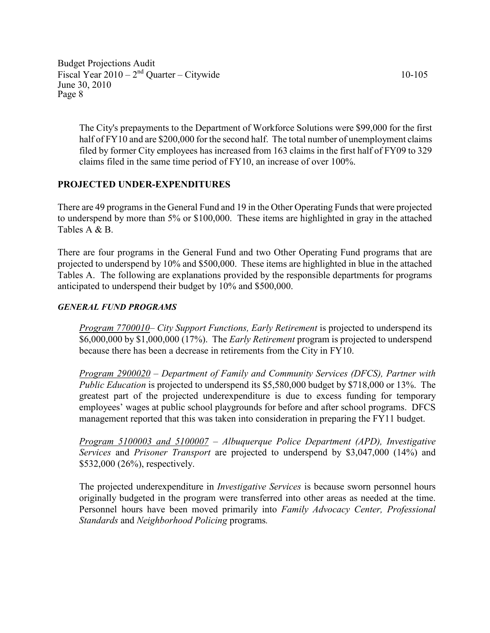The City's prepayments to the Department of Workforce Solutions were \$99,000 for the first half of FY10 and are \$200,000 for the second half. The total number of unemployment claims filed by former City employees has increased from 163 claims in the first half of FY09 to 329 claims filed in the same time period of FY10, an increase of over 100%.

# PROJECTED UNDER-EXPENDITURES

There are 49 programs in the General Fund and 19 in the Other Operating Funds that were projected to underspend by more than 5% or \$100,000. These items are highlighted in gray in the attached Tables A & B.

There are four programs in the General Fund and two Other Operating Fund programs that are projected to underspend by 10% and \$500,000. These items are highlighted in blue in the attached Tables A. The following are explanations provided by the responsible departments for programs anticipated to underspend their budget by 10% and \$500,000.

#### GENERAL FUND PROGRAMS

Program 7700010– City Support Functions, Early Retirement is projected to underspend its \$6,000,000 by \$1,000,000 (17%). The *Early Retirement* program is projected to underspend because there has been a decrease in retirements from the City in FY10.

Program 2900020 – Department of Family and Community Services (DFCS), Partner with Public Education is projected to underspend its \$5,580,000 budget by \$718,000 or 13%. The greatest part of the projected underexpenditure is due to excess funding for temporary employees' wages at public school playgrounds for before and after school programs. DFCS management reported that this was taken into consideration in preparing the FY11 budget.

Program 5100003 and 5100007 – Albuquerque Police Department (APD), Investigative Services and Prisoner Transport are projected to underspend by \$3,047,000 (14%) and \$532,000 (26%), respectively.

The projected underexpenditure in Investigative Services is because sworn personnel hours originally budgeted in the program were transferred into other areas as needed at the time. Personnel hours have been moved primarily into Family Advocacy Center, Professional Standards and Neighborhood Policing programs.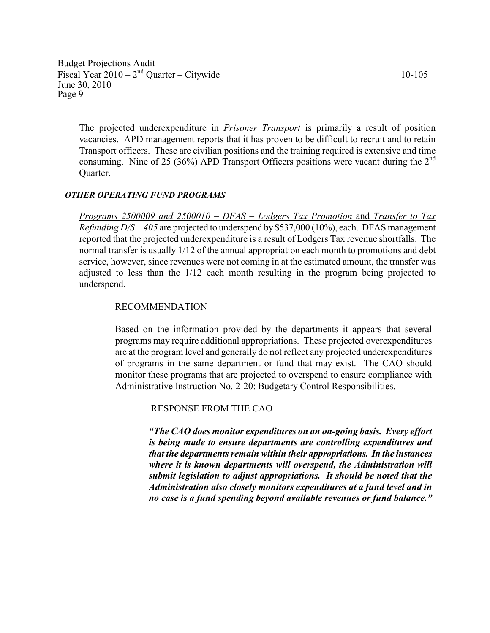The projected underexpenditure in Prisoner Transport is primarily a result of position vacancies. APD management reports that it has proven to be difficult to recruit and to retain Transport officers. These are civilian positions and the training required is extensive and time consuming. Nine of 25 (36%) APD Transport Officers positions were vacant during the  $2<sup>nd</sup>$ Quarter.

#### OTHER OPERATING FUND PROGRAMS

Programs 2500009 and 2500010 – DFAS – Lodgers Tax Promotion and Transfer to Tax *Refunding*  $D/S - 405$  *are projected to underspend by \$537,000 (10%), each. DFAS management* reported that the projected underexpenditure is a result of Lodgers Tax revenue shortfalls. The normal transfer is usually 1/12 of the annual appropriation each month to promotions and debt service, however, since revenues were not coming in at the estimated amount, the transfer was adjusted to less than the 1/12 each month resulting in the program being projected to underspend.

#### RECOMMENDATION

Based on the information provided by the departments it appears that several programs may require additional appropriations. These projected overexpenditures are at the program level and generally do not reflect any projected underexpenditures of programs in the same department or fund that may exist. The CAO should monitor these programs that are projected to overspend to ensure compliance with Administrative Instruction No. 2-20: Budgetary Control Responsibilities.

#### RESPONSE FROM THE CAO

"The CAO does monitor expenditures on an on-going basis. Every effort is being made to ensure departments are controlling expenditures and that the departments remain within their appropriations. In the instances where it is known departments will overspend, the Administration will submit legislation to adjust appropriations. It should be noted that the Administration also closely monitors expenditures at a fund level and in no case is a fund spending beyond available revenues or fund balance."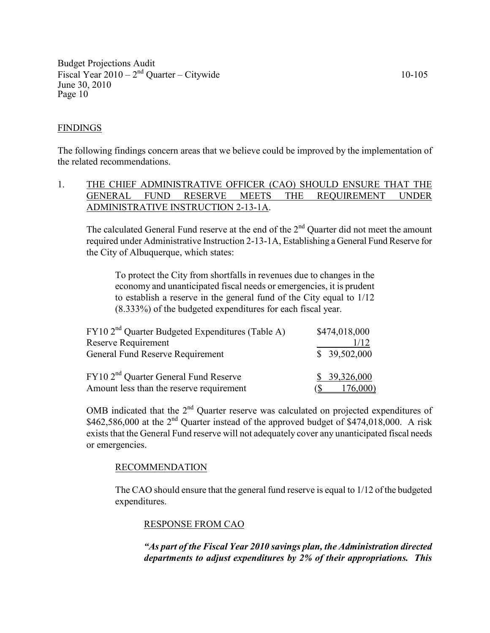#### FINDINGS

The following findings concern areas that we believe could be improved by the implementation of the related recommendations.

# 1. THE CHIEF ADMINISTRATIVE OFFICER (CAO) SHOULD ENSURE THAT THE GENERAL FUND RESERVE MEETS THE REQUIREMENT UNDER ADMINISTRATIVE INSTRUCTION 2-13-1A.

The calculated General Fund reserve at the end of the  $2<sup>nd</sup>$  Ouarter did not meet the amount required under Administrative Instruction 2-13-1A, Establishing a General Fund Reserve for the City of Albuquerque, which states:

To protect the City from shortfalls in revenues due to changes in the economy and unanticipated fiscal needs or emergencies, it is prudent to establish a reserve in the general fund of the City equal to 1/12 (8.333%) of the budgeted expenditures for each fiscal year.

| FY10 2 <sup>nd</sup> Quarter Budgeted Expenditures (Table A) | \$474,018,000 |  |  |
|--------------------------------------------------------------|---------------|--|--|
| Reserve Requirement                                          | 1/12          |  |  |
| General Fund Reserve Requirement                             | \$39,502,000  |  |  |
| FY10 2 <sup>nd</sup> Ouarter General Fund Reserve            | \$39,326,000  |  |  |
| Amount less than the reserve requirement                     | 76,000)       |  |  |

OMB indicated that the 2<sup>nd</sup> Quarter reserve was calculated on projected expenditures of  $$462,586,000$  at the  $2<sup>nd</sup>$  Quarter instead of the approved budget of \$474,018,000. A risk exists that the General Fund reserve will not adequately cover any unanticipated fiscal needs or emergencies.

#### RECOMMENDATION

The CAO should ensure that the general fund reserve is equal to 1/12 of the budgeted expenditures.

#### RESPONSE FROM CAO

"As part of the Fiscal Year 2010 savings plan, the Administration directed departments to adjust expenditures by 2% of their appropriations. This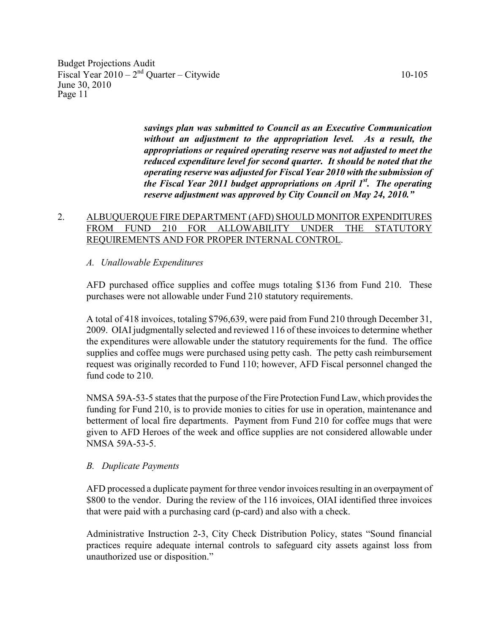> savings plan was submitted to Council as an Executive Communication without an adjustment to the appropriation level. As a result, the appropriations or required operating reserve was not adjusted to meet the reduced expenditure level for second quarter. It should be noted that the operating reserve was adjusted for Fiscal Year 2010 with the submission of the Fiscal Year 2011 budget appropriations on April  $1^{st}$ . The operating reserve adjustment was approved by City Council on May 24, 2010."

# 2. ALBUQUERQUE FIRE DEPARTMENT (AFD) SHOULD MONITOR EXPENDITURES FROM FUND 210 FOR ALLOWABILITY UNDER THE STATUTORY REQUIREMENTS AND FOR PROPER INTERNAL CONTROL.

#### A. Unallowable Expenditures

AFD purchased office supplies and coffee mugs totaling \$136 from Fund 210. These purchases were not allowable under Fund 210 statutory requirements.

A total of 418 invoices, totaling \$796,639, were paid from Fund 210 through December 31, 2009. OIAI judgmentally selected and reviewed 116 of these invoices to determine whether the expenditures were allowable under the statutory requirements for the fund. The office supplies and coffee mugs were purchased using petty cash. The petty cash reimbursement request was originally recorded to Fund 110; however, AFD Fiscal personnel changed the fund code to 210.

NMSA 59A-53-5 states that the purpose of the Fire Protection Fund Law, which provides the funding for Fund 210, is to provide monies to cities for use in operation, maintenance and betterment of local fire departments. Payment from Fund 210 for coffee mugs that were given to AFD Heroes of the week and office supplies are not considered allowable under NMSA 59A-53-5.

#### B. Duplicate Payments

 AFD processed a duplicate payment for three vendor invoices resulting in an overpayment of \$800 to the vendor. During the review of the 116 invoices, OIAI identified three invoices that were paid with a purchasing card (p-card) and also with a check.

Administrative Instruction 2-3, City Check Distribution Policy, states "Sound financial practices require adequate internal controls to safeguard city assets against loss from unauthorized use or disposition."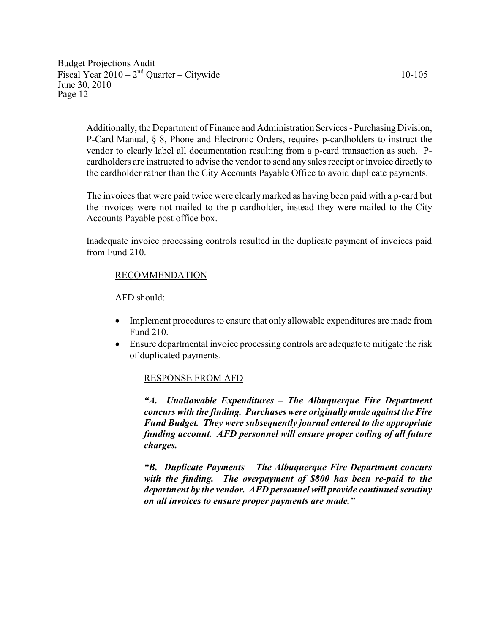Additionally, the Department of Finance and Administration Services - Purchasing Division, P-Card Manual, § 8, Phone and Electronic Orders, requires p-cardholders to instruct the vendor to clearly label all documentation resulting from a p-card transaction as such. Pcardholders are instructed to advise the vendor to send any sales receipt or invoice directly to the cardholder rather than the City Accounts Payable Office to avoid duplicate payments.

The invoices that were paid twice were clearly marked as having been paid with a p-card but the invoices were not mailed to the p-cardholder, instead they were mailed to the City Accounts Payable post office box.

Inadequate invoice processing controls resulted in the duplicate payment of invoices paid from Fund 210.

# RECOMMENDATION

AFD should:

- Implement procedures to ensure that only allowable expenditures are made from Fund 210.
- Ensure departmental invoice processing controls are adequate to mitigate the risk of duplicated payments.

#### RESPONSE FROM AFD

"A. Unallowable Expenditures – The Albuquerque Fire Department concurs with the finding. Purchases were originally made against the Fire Fund Budget. They were subsequently journal entered to the appropriate funding account. AFD personnel will ensure proper coding of all future charges.

"B. Duplicate Payments – The Albuquerque Fire Department concurs with the finding. The overpayment of \$800 has been re-paid to the department by the vendor. AFD personnel will provide continued scrutiny on all invoices to ensure proper payments are made."